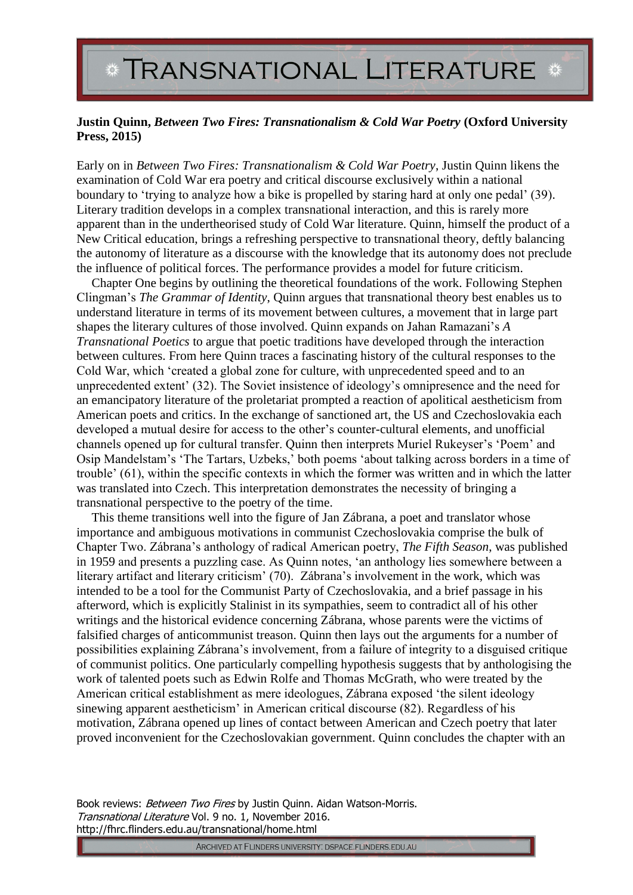## **TRANSNATIONAL LITERATURE**

## **Justin Quinn,** *Between Two Fires: Transnationalism & Cold War Poetry* **(Oxford University Press, 2015)**

Early on in *Between Two Fires: Transnationalism & Cold War Poetry*, Justin Quinn likens the examination of Cold War era poetry and critical discourse exclusively within a national boundary to 'trying to analyze how a bike is propelled by staring hard at only one pedal' (39). Literary tradition develops in a complex transnational interaction, and this is rarely more apparent than in the undertheorised study of Cold War literature. Quinn, himself the product of a New Critical education, brings a refreshing perspective to transnational theory, deftly balancing the autonomy of literature as a discourse with the knowledge that its autonomy does not preclude the influence of political forces. The performance provides a model for future criticism.

Chapter One begins by outlining the theoretical foundations of the work. Following Stephen Clingman's *The Grammar of Identity*, Quinn argues that transnational theory best enables us to understand literature in terms of its movement between cultures, a movement that in large part shapes the literary cultures of those involved. Quinn expands on Jahan Ramazani's *A Transnational Poetics* to argue that poetic traditions have developed through the interaction between cultures. From here Quinn traces a fascinating history of the cultural responses to the Cold War, which 'created a global zone for culture, with unprecedented speed and to an unprecedented extent' (32). The Soviet insistence of ideology's omnipresence and the need for an emancipatory literature of the proletariat prompted a reaction of apolitical aestheticism from American poets and critics. In the exchange of sanctioned art, the US and Czechoslovakia each developed a mutual desire for access to the other's counter-cultural elements, and unofficial channels opened up for cultural transfer. Quinn then interprets Muriel Rukeyser's 'Poem' and Osip Mandelstam's 'The Tartars, Uzbeks,' both poems 'about talking across borders in a time of trouble' (61), within the specific contexts in which the former was written and in which the latter was translated into Czech. This interpretation demonstrates the necessity of bringing a transnational perspective to the poetry of the time.

This theme transitions well into the figure of Jan Zábrana, a poet and translator whose importance and ambiguous motivations in communist Czechoslovakia comprise the bulk of Chapter Two. Zábrana's anthology of radical American poetry, *The Fifth Season*, was published in 1959 and presents a puzzling case. As Quinn notes, 'an anthology lies somewhere between a literary artifact and literary criticism' (70). Zábrana's involvement in the work, which was intended to be a tool for the Communist Party of Czechoslovakia, and a brief passage in his afterword, which is explicitly Stalinist in its sympathies, seem to contradict all of his other writings and the historical evidence concerning Zábrana, whose parents were the victims of falsified charges of anticommunist treason. Quinn then lays out the arguments for a number of possibilities explaining Zábrana's involvement, from a failure of integrity to a disguised critique of communist politics. One particularly compelling hypothesis suggests that by anthologising the work of talented poets such as Edwin Rolfe and Thomas McGrath, who were treated by the American critical establishment as mere ideologues, Zábrana exposed 'the silent ideology sinewing apparent aestheticism' in American critical discourse (82). Regardless of his motivation, Zábrana opened up lines of contact between American and Czech poetry that later proved inconvenient for the Czechoslovakian government. Quinn concludes the chapter with an

Book reviews: Between Two Fires by Justin Quinn. Aidan Watson-Morris. Transnational Literature Vol. 9 no. 1, November 2016. http://fhrc.flinders.edu.au/transnational/home.html

ARCHIVED AT FLINDERS UNIVERSITY: DSPACE.FLINDERS.EDU.AU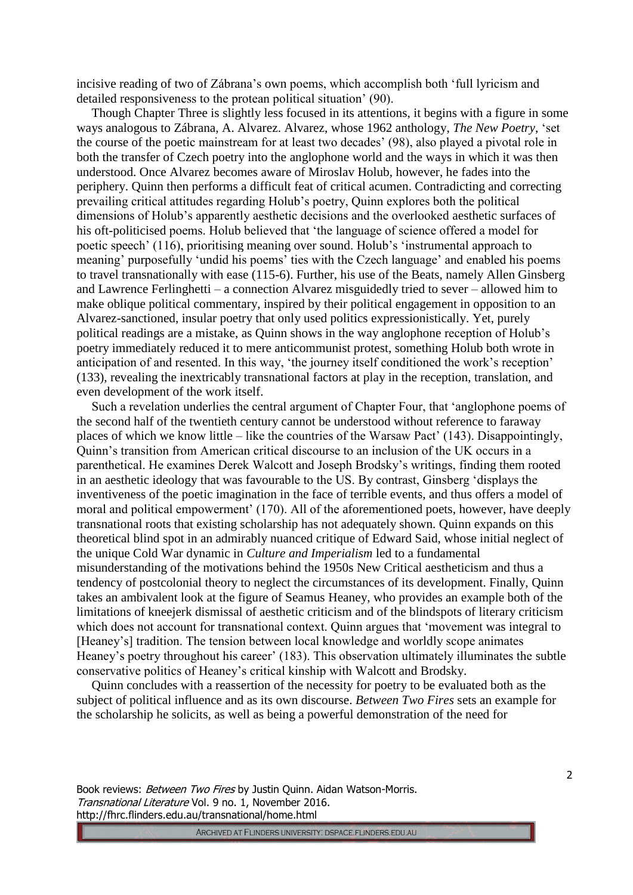incisive reading of two of Zábrana's own poems, which accomplish both 'full lyricism and detailed responsiveness to the protean political situation' (90).

Though Chapter Three is slightly less focused in its attentions, it begins with a figure in some ways analogous to Zábrana, A. Alvarez. Alvarez, whose 1962 anthology, *The New Poetry*, 'set the course of the poetic mainstream for at least two decades' (98), also played a pivotal role in both the transfer of Czech poetry into the anglophone world and the ways in which it was then understood. Once Alvarez becomes aware of Miroslav Holub, however, he fades into the periphery. Quinn then performs a difficult feat of critical acumen. Contradicting and correcting prevailing critical attitudes regarding Holub's poetry, Quinn explores both the political dimensions of Holub's apparently aesthetic decisions and the overlooked aesthetic surfaces of his oft-politicised poems. Holub believed that 'the language of science offered a model for poetic speech' (116), prioritising meaning over sound. Holub's 'instrumental approach to meaning' purposefully 'undid his poems' ties with the Czech language' and enabled his poems to travel transnationally with ease (115-6). Further, his use of the Beats, namely Allen Ginsberg and Lawrence Ferlinghetti – a connection Alvarez misguidedly tried to sever – allowed him to make oblique political commentary, inspired by their political engagement in opposition to an Alvarez-sanctioned, insular poetry that only used politics expressionistically. Yet, purely political readings are a mistake, as Quinn shows in the way anglophone reception of Holub's poetry immediately reduced it to mere anticommunist protest, something Holub both wrote in anticipation of and resented. In this way, 'the journey itself conditioned the work's reception' (133), revealing the inextricably transnational factors at play in the reception, translation, and even development of the work itself.

Such a revelation underlies the central argument of Chapter Four, that 'anglophone poems of the second half of the twentieth century cannot be understood without reference to faraway places of which we know little – like the countries of the Warsaw Pact' (143). Disappointingly, Quinn's transition from American critical discourse to an inclusion of the UK occurs in a parenthetical. He examines Derek Walcott and Joseph Brodsky's writings, finding them rooted in an aesthetic ideology that was favourable to the US. By contrast, Ginsberg 'displays the inventiveness of the poetic imagination in the face of terrible events, and thus offers a model of moral and political empowerment' (170). All of the aforementioned poets, however, have deeply transnational roots that existing scholarship has not adequately shown. Quinn expands on this theoretical blind spot in an admirably nuanced critique of Edward Said, whose initial neglect of the unique Cold War dynamic in *Culture and Imperialism* led to a fundamental misunderstanding of the motivations behind the 1950s New Critical aestheticism and thus a tendency of postcolonial theory to neglect the circumstances of its development. Finally, Quinn takes an ambivalent look at the figure of Seamus Heaney, who provides an example both of the limitations of kneejerk dismissal of aesthetic criticism and of the blindspots of literary criticism which does not account for transnational context. Quinn argues that 'movement was integral to [Heaney's] tradition. The tension between local knowledge and worldly scope animates Heaney's poetry throughout his career' (183). This observation ultimately illuminates the subtle conservative politics of Heaney's critical kinship with Walcott and Brodsky.

Quinn concludes with a reassertion of the necessity for poetry to be evaluated both as the subject of political influence and as its own discourse. *Between Two Fires* sets an example for the scholarship he solicits, as well as being a powerful demonstration of the need for

Book reviews: Between Two Fires by Justin Quinn. Aidan Watson-Morris. Transnational Literature Vol. 9 no. 1, November 2016. http://fhrc.flinders.edu.au/transnational/home.html